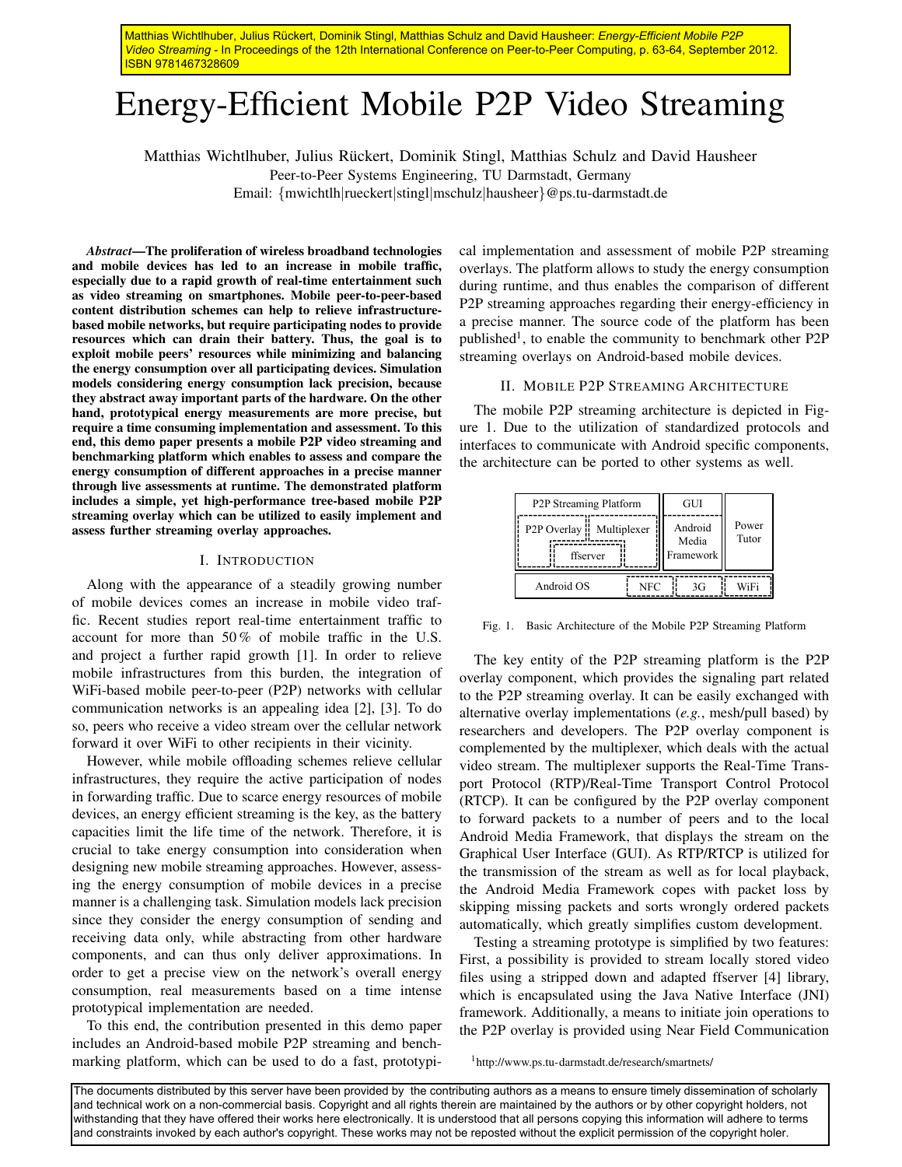Matthias Wichtlhuber, Julius Rückert, Dominik Stingl, Matthias Schulz and David Hausheer: *Energy-Efficient Mobile P2P Video Streaming* - In Proceedings of the 12th International Conference on Peer-to-Peer Computing, p. 63-64, September 2012. ISBN 9781467328609

# Energy-Efficient Mobile P2P Video Streaming

Matthias Wichtlhuber, Julius Rückert, Dominik Stingl, Matthias Schulz and David Hausheer

Peer-to-Peer Systems Engineering, TU Darmstadt, Germany

Email: {mwichtlh|rueckert|stingl|mschulz|hausheer}@ps.tu-darmstadt.de

*Abstract*—The proliferation of wireless broadband technologies and mobile devices has led to an increase in mobile traffic, especially due to a rapid growth of real-time entertainment such as video streaming on smartphones. Mobile peer-to-peer-based content distribution schemes can help to relieve infrastructurebased mobile networks, but require participating nodes to provide resources which can drain their battery. Thus, the goal is to exploit mobile peers' resources while minimizing and balancing the energy consumption over all participating devices. Simulation models considering energy consumption lack precision, because they abstract away important parts of the hardware. On the other hand, prototypical energy measurements are more precise, but require a time consuming implementation and assessment. To this end, this demo paper presents a mobile P2P video streaming and benchmarking platform which enables to assess and compare the energy consumption of different approaches in a precise manner through live assessments at runtime. The demonstrated platform includes a simple, yet high-performance tree-based mobile P2P streaming overlay which can be utilized to easily implement and assess further streaming overlay approaches.

### I. INTRODUCTION

Along with the appearance of a steadily growing number of mobile devices comes an increase in mobile video traffic. Recent studies report real-time entertainment traffic to account for more than 50 % of mobile traffic in the U.S. and project a further rapid growth [1]. In order to relieve mobile infrastructures from this burden, the integration of WiFi-based mobile peer-to-peer (P2P) networks with cellular communication networks is an appealing idea [2], [3]. To do so, peers who receive a video stream over the cellular network forward it over WiFi to other recipients in their vicinity.

However, while mobile offloading schemes relieve cellular infrastructures, they require the active participation of nodes in forwarding traffic. Due to scarce energy resources of mobile devices, an energy efficient streaming is the key, as the battery capacities limit the life time of the network. Therefore, it is crucial to take energy consumption into consideration when designing new mobile streaming approaches. However, assessing the energy consumption of mobile devices in a precise manner is a challenging task. Simulation models lack precision since they consider the energy consumption of sending and receiving data only, while abstracting from other hardware components, and can thus only deliver approximations. In order to get a precise view on the network's overall energy consumption, real measurements based on a time intense prototypical implementation are needed.

To this end, the contribution presented in this demo paper includes an Android-based mobile P2P streaming and benchmarking platform, which can be used to do a fast, prototypical implementation and assessment of mobile P2P streaming overlays. The platform allows to study the energy consumption during runtime, and thus enables the comparison of different P2P streaming approaches regarding their energy-efficiency in a precise manner. The source code of the platform has been published<sup>1</sup>, to enable the community to benchmark other P2P streaming overlays on Android-based mobile devices.

## II. MOBILE P2P STREAMING ARCHITECTURE

The mobile P2P streaming architecture is depicted in Figure 1. Due to the utilization of standardized protocols and interfaces to communicate with Android specific components, the architecture can be ported to other systems as well.

| P2P Streaming Platform                                  |  |     | GUI                           |    |                |
|---------------------------------------------------------|--|-----|-------------------------------|----|----------------|
| P <sub>2</sub> P Overlay <b>Multiplexer</b><br>ffserver |  |     | Android<br>Media<br>Framework |    | Power<br>Tutor |
| Android OS                                              |  | NFC |                               | 3G | WiFi           |

Fig. 1. Basic Architecture of the Mobile P2P Streaming Platform

The key entity of the P2P streaming platform is the P2P overlay component, which provides the signaling part related to the P2P streaming overlay. It can be easily exchanged with alternative overlay implementations (*e.g.*, mesh/pull based) by researchers and developers. The P2P overlay component is complemented by the multiplexer, which deals with the actual video stream. The multiplexer supports the Real-Time Transport Protocol (RTP)/Real-Time Transport Control Protocol (RTCP). It can be configured by the P2P overlay component to forward packets to a number of peers and to the local Android Media Framework, that displays the stream on the Graphical User Interface (GUI). As RTP/RTCP is utilized for the transmission of the stream as well as for local playback, the Android Media Framework copes with packet loss by skipping missing packets and sorts wrongly ordered packets automatically, which greatly simplifies custom development.

Testing a streaming prototype is simplified by two features: First, a possibility is provided to stream locally stored video files using a stripped down and adapted ffserver [4] library, which is encapsulated using the Java Native Interface (JNI) framework. Additionally, a means to initiate join operations to the P2P overlay is provided using Near Field Communication

<sup>1</sup>http://www.ps.tu-darmstadt.de/research/smartnets/

The documents distributed by this server have been provided by the contributing authors as a means to ensure timely dissemination of scholarly and technical work on a non-commercial basis. Copyright and all rights therein are maintained by the authors or by other copyright holders, not withstanding that they have offered their works here electronically. It is understood that all persons copying this information will adhere to terms and constraints invoked by each author's copyright. These works may not be reposted without the explicit permission of the copyright holer.